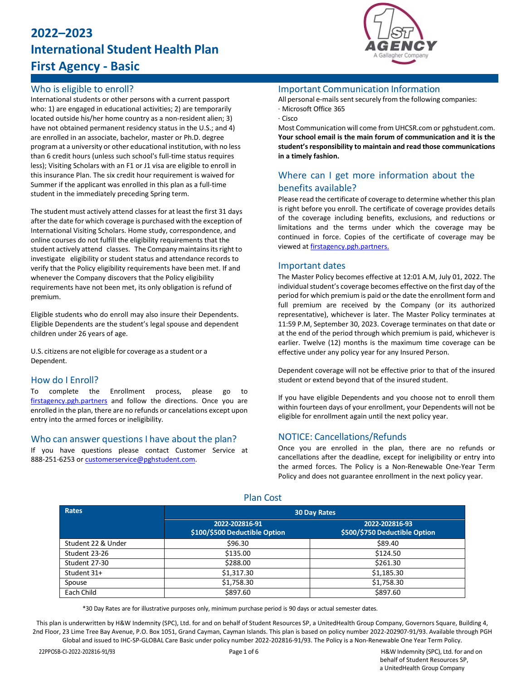# **2022–2023 International Student Health Plan First Agency - Basic**

# Who is eligible to enroll?

International students or other persons with a current passport who: 1) are engaged in educational activities; 2) are temporarily located outside his/her home country as a non-resident alien; 3) have not obtained permanent residency status in the U.S.; and 4) are enrolled in an associate, bachelor, master or Ph.D. degree program at a university or other educational institution, with no less than 6 credit hours (unless such school's full-time status requires less); Visiting Scholars with an F1 or J1 visa are eligible to enroll in this insurance Plan. The six credit hour requirement is waived for Summer if the applicant was enrolled in this plan as a full-time student in the immediately preceding Spring term.

The student must actively attend classes for at least the first 31 days after the date for which coverage is purchased with the exception of International Visiting Scholars. Home study, correspondence, and online courses do not fulfill the eligibility requirements that the student actively attend classes. The Company maintains its right to investigate eligibility or student status and attendance records to verify that the Policy eligibility requirements have been met. If and whenever the Company discovers that the Policy eligibility requirements have not been met, its only obligation is refund of premium.

Eligible students who do enroll may also insure their Dependents. Eligible Dependents are the student's legal spouse and dependent children under 26 years of age.

U.S. citizens are not eligible for coverage as a student or a Dependent.

# How do I Enroll?

To complete the Enrollment process, please go to [firstagency.pgh.partners](https://firstagency.pgh.partners/) and follow the directions. Once you are enrolled in the plan, there are no refunds or cancelations except upon entry into the armed forces or ineligibility.

#### Who can answer questions I have about the plan?

If you have questions please contact Customer Service at 888-251-6253 o[r customerservice@pghstudent.com.](mailto:customerservice@pghstudent.com)



### Important Communication Information

All personal e-mails sent securely from the following companies: · Microsoft Office 365

#### · Cisco

Most Communication will come from UHCSR.com or pghstudent.com. **Your school email is the main forum of communication and it is the student'sresponsibility to maintain and read those communications in a timely fashion.**

# Where can I get more information about the benefits available?

Please read the certificate of coverage to determine whether this plan is right before you enroll. The certificate of coverage provides details of the coverage including benefits, exclusions, and reductions or limitations and the terms under which the coverage may be continued in force. Copies of the certificate of coverage may be viewed at [firstagency.pgh.partners.](https://firstagency.pgh.partners/)

#### Important dates

The Master Policy becomes effective at 12:01 A.M, July 01, 2022. The individual student's coverage becomes effective on the first day of the period for which premium is paid or the date the enrollment form and full premium are received by the Company (or its authorized representative), whichever is later. The Master Policy terminates at 11:59 P.M, September 30, 2023. Coverage terminates on that date or at the end of the period through which premium is paid, whichever is earlier. Twelve (12) months is the maximum time coverage can be effective under any policy year for any Insured Person.

Dependent coverage will not be effective prior to that of the insured student or extend beyond that of the insured student.

If you have eligible Dependents and you choose not to enroll them within fourteen days of your enrollment, your Dependents will not be eligible for enrollment again until the next policy year.

# NOTICE: Cancellations/Refunds

Once you are enrolled in the plan, there are no refunds or cancellations after the deadline, except for ineligibility or entry into the armed forces. The Policy is a Non-Renewable One-Year Term Policy and does not guarantee enrollment in the next policy year.

| Rates              | <b>30 Day Rates</b>                             |                                                 |
|--------------------|-------------------------------------------------|-------------------------------------------------|
|                    | 2022-202816-91<br>\$100/\$500 Deductible Option | 2022-202816-93<br>\$500/\$750 Deductible Option |
| Student 22 & Under | \$96.30                                         | \$89.40                                         |
| Student 23-26      | \$135.00                                        | \$124.50                                        |
| Student 27-30      | \$288.00                                        | \$261.30                                        |
| Student 31+        | \$1,317.30                                      | \$1,185.30                                      |
| Spouse             | \$1,758.30                                      | \$1,758.30                                      |
| Each Child         | \$897.60                                        | \$897.60                                        |

Plan Cost

\*30 Day Rates are for illustrative purposes only, minimum purchase period is 90 days or actual semester dates.

This plan is underwritten by H&W Indemnity (SPC), Ltd. for and on behalf of Student Resources SP, a UnitedHealth Group Company, Governors Square, Building 4, 2nd Floor, 23 Lime Tree Bay Avenue, P.O. Box 1051, Grand Cayman, Cayman Islands. This plan is based on policy number 2022-202907-91/93. Available through PGH Global and issued to IHC-SP-GLOBAL Care Basic under policy number 2022-202816-91/93. The Policy is a Non-Renewable One Year Term Policy.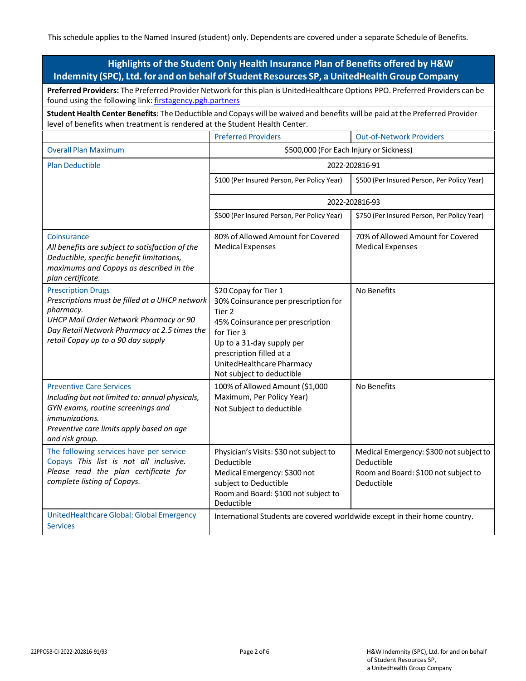This schedule applies to the Named Insured (student) only. Dependents are covered under a separate Schedule of Benefits.

| Highlights of the Student Only Health Insurance Plan of Benefits offered by H&W                                                                                                                                          |                                                                                                                                                                                                                                              |                                                                                                             |  |  |  |
|--------------------------------------------------------------------------------------------------------------------------------------------------------------------------------------------------------------------------|----------------------------------------------------------------------------------------------------------------------------------------------------------------------------------------------------------------------------------------------|-------------------------------------------------------------------------------------------------------------|--|--|--|
| Indemnity (SPC), Ltd. for and on behalf of Student Resources SP, a UnitedHealth Group Company                                                                                                                            |                                                                                                                                                                                                                                              |                                                                                                             |  |  |  |
| Preferred Providers: The Preferred Provider Network for this plan is UnitedHealthcare Options PPO. Preferred Providers can be<br>found using the following link: firstagency.pgh.partners                                |                                                                                                                                                                                                                                              |                                                                                                             |  |  |  |
| Student Health Center Benefits: The Deductible and Copays will be waived and benefits will be paid at the Preferred Provider<br>level of benefits when treatment is rendered at the Student Health Center.               |                                                                                                                                                                                                                                              |                                                                                                             |  |  |  |
|                                                                                                                                                                                                                          | <b>Preferred Providers</b>                                                                                                                                                                                                                   | <b>Out-of-Network Providers</b>                                                                             |  |  |  |
| <b>Overall Plan Maximum</b>                                                                                                                                                                                              | \$500,000 (For Each Injury or Sickness)                                                                                                                                                                                                      |                                                                                                             |  |  |  |
| <b>Plan Deductible</b>                                                                                                                                                                                                   | 2022-202816-91                                                                                                                                                                                                                               |                                                                                                             |  |  |  |
|                                                                                                                                                                                                                          | \$100 (Per Insured Person, Per Policy Year)                                                                                                                                                                                                  | \$500 (Per Insured Person, Per Policy Year)                                                                 |  |  |  |
|                                                                                                                                                                                                                          | 2022-202816-93                                                                                                                                                                                                                               |                                                                                                             |  |  |  |
|                                                                                                                                                                                                                          | \$500 (Per Insured Person, Per Policy Year)                                                                                                                                                                                                  | \$750 (Per Insured Person, Per Policy Year)                                                                 |  |  |  |
| Coinsurance<br>All benefits are subject to satisfaction of the<br>Deductible, specific benefit limitations,<br>maximums and Copays as described in the<br>plan certificate.                                              | 80% of Allowed Amount for Covered<br><b>Medical Expenses</b>                                                                                                                                                                                 | 70% of Allowed Amount for Covered<br><b>Medical Expenses</b>                                                |  |  |  |
| <b>Prescription Drugs</b><br>Prescriptions must be filled at a UHCP network<br>pharmacy.<br>UHCP Mail Order Network Pharmacy or 90<br>Day Retail Network Pharmacy at 2.5 times the<br>retail Copay up to a 90 day supply | \$20 Copay for Tier 1<br>30% Coinsurance per prescription for<br>Tier 2<br>45% Coinsurance per prescription<br>for Tier 3<br>Up to a 31-day supply per<br>prescription filled at a<br>UnitedHealthcare Pharmacy<br>Not subject to deductible | No Benefits                                                                                                 |  |  |  |
| <b>Preventive Care Services</b><br>Including but not limited to: annual physicals,<br>GYN exams, routine screenings and<br><i>immunizations.</i><br>Preventive care limits apply based on age<br>and risk group.         | 100% of Allowed Amount (\$1,000<br>Maximum, Per Policy Year)<br>Not Subject to deductible                                                                                                                                                    | No Benefits                                                                                                 |  |  |  |
| The following services have per service<br>Copays This list is not all inclusive.<br>Please read the plan certificate for<br>complete listing of Copays.                                                                 | Physician's Visits: \$30 not subject to<br>Deductible<br>Medical Emergency: \$300 not<br>subject to Deductible<br>Room and Board: \$100 not subject to<br>Deductible                                                                         | Medical Emergency: \$300 not subject to<br>Deductible<br>Room and Board: \$100 not subject to<br>Deductible |  |  |  |
| UnitedHealthcare Global: Global Emergency<br><b>Services</b>                                                                                                                                                             | International Students are covered worldwide except in their home country.                                                                                                                                                                   |                                                                                                             |  |  |  |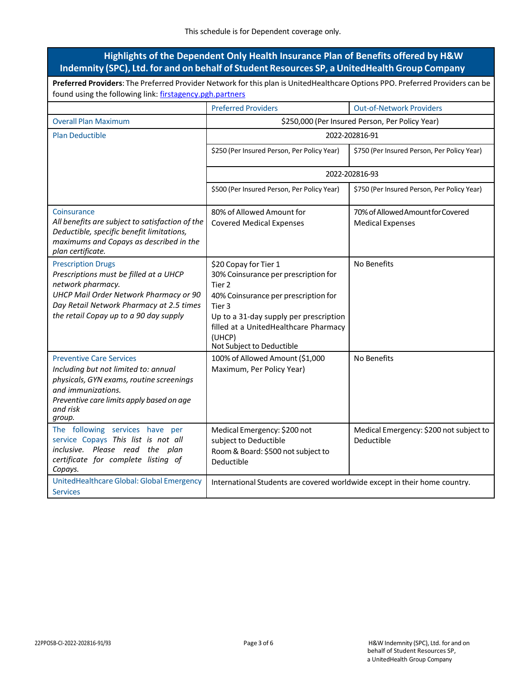| Highlights of the Dependent Only Health Insurance Plan of Benefits offered by H&W<br>Indemnity (SPC), Ltd. for and on behalf of Student Resources SP, a UnitedHealth Group Company                                              |                                                                                                                                                                                                                                                                           |                                                              |  |  |  |
|---------------------------------------------------------------------------------------------------------------------------------------------------------------------------------------------------------------------------------|---------------------------------------------------------------------------------------------------------------------------------------------------------------------------------------------------------------------------------------------------------------------------|--------------------------------------------------------------|--|--|--|
| Preferred Providers: The Preferred Provider Network for this plan is UnitedHealthcare Options PPO. Preferred Providers can be<br>found using the following link: firstagency.pgh.partners                                       |                                                                                                                                                                                                                                                                           |                                                              |  |  |  |
|                                                                                                                                                                                                                                 | <b>Preferred Providers</b>                                                                                                                                                                                                                                                | <b>Out-of-Network Providers</b>                              |  |  |  |
| <b>Overall Plan Maximum</b>                                                                                                                                                                                                     | \$250,000 (Per Insured Person, Per Policy Year)                                                                                                                                                                                                                           |                                                              |  |  |  |
| <b>Plan Deductible</b>                                                                                                                                                                                                          | 2022-202816-91                                                                                                                                                                                                                                                            |                                                              |  |  |  |
|                                                                                                                                                                                                                                 | \$250 (Per Insured Person, Per Policy Year)                                                                                                                                                                                                                               | \$750 (Per Insured Person, Per Policy Year)                  |  |  |  |
|                                                                                                                                                                                                                                 | 2022-202816-93                                                                                                                                                                                                                                                            |                                                              |  |  |  |
|                                                                                                                                                                                                                                 | \$500 (Per Insured Person, Per Policy Year)                                                                                                                                                                                                                               | \$750 (Per Insured Person, Per Policy Year)                  |  |  |  |
| Coinsurance<br>All benefits are subject to satisfaction of the<br>Deductible, specific benefit limitations,<br>maximums and Copays as described in the<br>plan certificate.                                                     | 80% of Allowed Amount for<br><b>Covered Medical Expenses</b>                                                                                                                                                                                                              | 70% of Allowed Amount for Covered<br><b>Medical Expenses</b> |  |  |  |
| <b>Prescription Drugs</b><br>Prescriptions must be filled at a UHCP<br>network pharmacy.<br><b>UHCP Mail Order Network Pharmacy or 90</b><br>Day Retail Network Pharmacy at 2.5 times<br>the retail Copay up to a 90 day supply | \$20 Copay for Tier 1<br>30% Coinsurance per prescription for<br>Tier <sub>2</sub><br>40% Coinsurance per prescription for<br>Tier <sub>3</sub><br>Up to a 31-day supply per prescription<br>filled at a UnitedHealthcare Pharmacy<br>(UHCP)<br>Not Subject to Deductible | No Benefits                                                  |  |  |  |
| <b>Preventive Care Services</b><br>Including but not limited to: annual<br>physicals, GYN exams, routine screenings<br>and immunizations.<br>Preventive care limits apply based on age<br>and risk<br>group.                    | 100% of Allowed Amount (\$1,000<br>Maximum, Per Policy Year)                                                                                                                                                                                                              | No Benefits                                                  |  |  |  |
| The following services have per<br>service Copays This list is not all<br>inclusive. Please read the plan<br>certificate for complete listing of<br>Copays.                                                                     | Medical Emergency: \$200 not<br>subject to Deductible<br>Room & Board: \$500 not subject to<br>Deductible                                                                                                                                                                 | Medical Emergency: \$200 not subject to<br>Deductible        |  |  |  |
| UnitedHealthcare Global: Global Emergency<br><b>Services</b>                                                                                                                                                                    | International Students are covered worldwide except in their home country.                                                                                                                                                                                                |                                                              |  |  |  |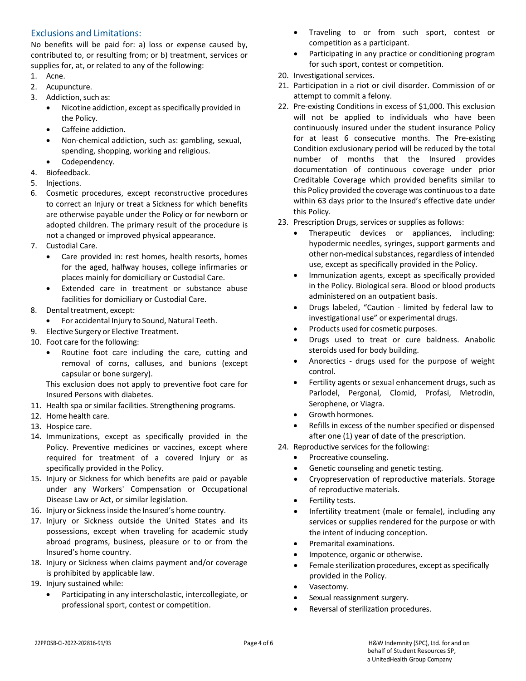# Exclusions and Limitations:

No benefits will be paid for: a) loss or expense caused by, contributed to, or resulting from; or b) treatment, services or supplies for, at, or related to any of the following:

- 1. Acne.
- 2. Acupuncture.
- 3. Addiction,such as:
	- Nicotine addiction, except as specifically provided in the Policy.
	- Caffeine addiction.
	- Non-chemical addiction, such as: gambling, sexual, spending, shopping, working and religious.
	- Codependency.
- 4. Biofeedback.
- 5. Injections.
- 6. Cosmetic procedures, except reconstructive procedures to correct an Injury or treat a Sickness for which benefits are otherwise payable under the Policy or for newborn or adopted children. The primary result of the procedure is not a changed or improved physical appearance.
- 7. Custodial Care.
	- Care provided in: rest homes, health resorts, homes for the aged, halfway houses, college infirmaries or places mainly for domiciliary or Custodial Care.
	- Extended care in treatment or substance abuse facilities for domiciliary or Custodial Care.
- 8. Dental treatment, except:
	- For accidental Injury to Sound, Natural Teeth.
- 9. Elective Surgery or Elective Treatment.
- 10. Foot care for the following:
	- Routine foot care including the care, cutting and removal of corns, calluses, and bunions (except capsular or bone surgery).

This exclusion does not apply to preventive foot care for Insured Persons with diabetes.

- 11. Health spa or similar facilities. Strengthening programs.
- 12. Home health care.
- 13. Hospice care.
- 14. Immunizations, except as specifically provided in the Policy. Preventive medicines or vaccines, except where required for treatment of a covered Injury or as specifically provided in the Policy.
- 15. Injury or Sickness for which benefits are paid or payable under any Workers' Compensation or Occupational Disease Law or Act, or similar legislation.
- 16. Injury or Sicknessinside the Insured's home country.
- 17. Injury or Sickness outside the United States and its possessions, except when traveling for academic study abroad programs, business, pleasure or to or from the Insured's home country.
- 18. Injury or Sickness when claims payment and/or coverage is prohibited by applicable law.
- 19. Injury sustained while:
	- Participating in any interscholastic, intercollegiate, or professional sport, contest or competition.
- Traveling to or from such sport, contest or competition as a participant.
- Participating in any practice or conditioning program for such sport, contest or competition.
- 20. Investigational services.
- 21. Participation in a riot or civil disorder. Commission of or attempt to commit a felony.
- 22. Pre-existing Conditions in excess of \$1,000. This exclusion will not be applied to individuals who have been continuously insured under the student insurance Policy for at least 6 consecutive months. The Pre-existing Condition exclusionary period will be reduced by the total number of months that the Insured provides documentation of continuous coverage under prior Creditable Coverage which provided benefits similar to this Policy provided the coverage was continuousto a date within 63 days prior to the Insured's effective date under this Policy.
- 23. Prescription Drugs, services or supplies as follows:
	- Therapeutic devices or appliances, including: hypodermic needles, syringes, support garments and other non-medical substances, regardless of intended use, except as specifically provided in the Policy.
	- Immunization agents, except as specifically provided in the Policy. Biological sera. Blood or blood products administered on an outpatient basis.
	- Drugs labeled, "Caution limited by federal law to investigational use" or experimental drugs.
	- Products used for cosmetic purposes.
	- Drugs used to treat or cure baldness. Anabolic steroids used for body building.
	- Anorectics drugs used for the purpose of weight control.
	- Fertility agents or sexual enhancement drugs, such as Parlodel, Pergonal, Clomid, Profasi, Metrodin, Serophene, or Viagra.
	- Growth hormones.
	- Refills in excess of the number specified or dispensed after one (1) year of date of the prescription.
- 24. Reproductive services for the following:
	- Procreative counseling.
	- Genetic counseling and genetic testing.
	- Cryopreservation of reproductive materials. Storage of reproductive materials.
	- Fertility tests.
	- Infertility treatment (male or female), including any services or supplies rendered for the purpose or with the intent of inducing conception.
	- Premarital examinations.
	- Impotence, organic or otherwise.
	- Female sterilization procedures, except as specifically provided in the Policy.
	- Vasectomy.
	- Sexual reassignment surgery.
	- Reversal of sterilization procedures.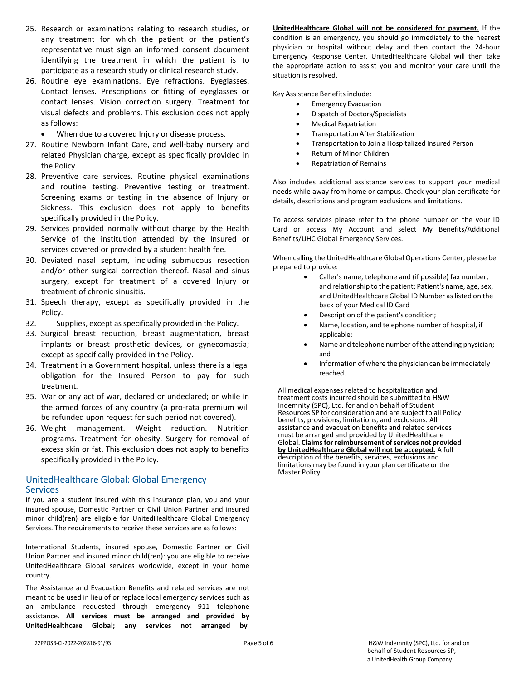- 25. Research or examinations relating to research studies, or any treatment for which the patient or the patient's representative must sign an informed consent document identifying the treatment in which the patient is to participate as a research study or clinical research study.
- 26. Routine eye examinations. Eye refractions. Eyeglasses. Contact lenses. Prescriptions or fitting of eyeglasses or contact lenses. Vision correction surgery. Treatment for visual defects and problems. This exclusion does not apply as follows:
	- When due to a covered Injury or disease process.
- 27. Routine Newborn Infant Care, and well-baby nursery and related Physician charge, except as specifically provided in the Policy.
- 28. Preventive care services. Routine physical examinations and routine testing. Preventive testing or treatment. Screening exams or testing in the absence of Injury or Sickness. This exclusion does not apply to benefits specifically provided in the Policy.
- 29. Services provided normally without charge by the Health Service of the institution attended by the Insured or services covered or provided by a student health fee.
- 30. Deviated nasal septum, including submucous resection and/or other surgical correction thereof. Nasal and sinus surgery, except for treatment of a covered Injury or treatment of chronic sinusitis.
- 31. Speech therapy, except as specifically provided in the Policy.
- 32. Supplies, except asspecifically provided in the Policy.
- 33. Surgical breast reduction, breast augmentation, breast implants or breast prosthetic devices, or gynecomastia; except as specifically provided in the Policy.
- 34. Treatment in a Government hospital, unless there is a legal obligation for the Insured Person to pay for such treatment.
- 35. War or any act of war, declared or undeclared; or while in the armed forces of any country (a pro-rata premium will be refunded upon request for such period not covered).
- 36. Weight management. Weight reduction. Nutrition programs. Treatment for obesity. Surgery for removal of excess skin or fat. This exclusion does not apply to benefits specifically provided in the Policy.

# UnitedHealthcare Global: Global Emergency Services

If you are a student insured with this insurance plan, you and your insured spouse, Domestic Partner or Civil Union Partner and insured minor child(ren) are eligible for UnitedHealthcare Global Emergency Services. The requirements to receive these services are as follows:

International Students, insured spouse, Domestic Partner or Civil Union Partner and insured minor child(ren): you are eligible to receive UnitedHealthcare Global services worldwide, except in your home country.

The Assistance and Evacuation Benefits and related services are not meant to be used in lieu of or replace local emergency services such as an ambulance requested through emergency 911 telephone assistance. **All services must be arranged and provided by UnitedHealthcare Global; any services not arranged by**

**UnitedHealthcare Global will not be considered for payment.** If the condition is an emergency, you should go immediately to the nearest physician or hospital without delay and then contact the 24-hour Emergency Response Center. UnitedHealthcare Global will then take the appropriate action to assist you and monitor your care until the situation is resolved.

Key Assistance Benefits include:

- Emergency Evacuation
- Dispatch of Doctors/Specialists
- Medical Repatriation
- Transportation After Stabilization
- Transportation to Join a Hospitalized Insured Person
- Return of Minor Children
- Repatriation of Remains

Also includes additional assistance services to support your medical needs while away from home or campus. Check your plan certificate for details, descriptions and program exclusions and limitations.

To access services please refer to the phone number on the your ID Card or access My Account and select My Benefits/Additional Benefits/UHC Global Emergency Services.

When calling the UnitedHealthcare Global Operations Center, please be prepared to provide:

- Caller's name, telephone and (if possible) fax number, and relationship to the patient; Patient's name, age, sex, and UnitedHealthcare Global ID Number as listed on the back of your Medical ID Card
- Description of the patient's condition;
- Name, location, and telephone number of hospital, if applicable;
- Name and telephone number of the attending physician; and
- Information of where the physician can be immediately reached.

All medical expenses related to hospitalization and treatment costs incurred should be submitted to H&W Indemnity (SPC), Ltd. for and on behalf of Student Resources SP for consideration and are subject to all Policy benefits, provisions, limitations, and exclusions. All assistance and evacuation benefits and related services must be arranged and provided by UnitedHealthcare Global. **Claimsfor reimbursement ofservices not provided by UnitedHealthcare Global will not be accepted.** A full description of the benefits, services, exclusions and limitations may be found in your plan certificate or the Master Policy.